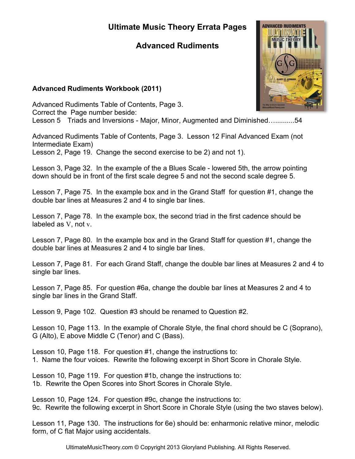# **Ultimate Music Theory Errata Pages**

# **Advanced Rudiments**

### **Advanced Rudiments Workbook (2011)**

Advanced Rudiments Table of Contents, Page 3. Correct the Page number beside: Lesson 5 Triads and Inversions - Major, Minor, Augmented and Diminished…..........54

Advanced Rudiments Table of Contents, Page 3. Lesson 12 Final Advanced Exam (not Intermediate Exam)

Lesson 2, Page 19. Change the second exercise to be 2) and not 1).

Lesson 3, Page 32. In the example of the a Blues Scale - lowered 5th, the arrow pointing down should be in front of the first scale degree 5 and not the second scale degree 5.

Lesson 7, Page 75. In the example box and in the Grand Staff for question #1, change the double bar lines at Measures 2 and 4 to single bar lines.

Lesson 7, Page 78. In the example box, the second triad in the first cadence should be labeled as V, not v.

Lesson 7, Page 80. In the example box and in the Grand Staff for question #1, change the double bar lines at Measures 2 and 4 to single bar lines.

Lesson 7, Page 81. For each Grand Staff, change the double bar lines at Measures 2 and 4 to single bar lines.

Lesson 7, Page 85. For question #6a, change the double bar lines at Measures 2 and 4 to single bar lines in the Grand Staff.

Lesson 9, Page 102. Question #3 should be renamed to Question #2.

Lesson 10, Page 113. In the example of Chorale Style, the final chord should be C (Soprano), G (Alto), E above Middle C (Tenor) and C (Bass).

Lesson 10, Page 118. For question #1, change the instructions to: 1. Name the four voices. Rewrite the following excerpt in Short Score in Chorale Style.

Lesson 10, Page 119. For question #1b, change the instructions to: 1b. Rewrite the Open Scores into Short Scores in Chorale Style.

Lesson 10, Page 124. For question #9c, change the instructions to: 9c. Rewrite the following excerpt in Short Score in Chorale Style (using the two staves below).

Lesson 11, Page 130. The instructions for 6e) should be: enharmonic relative minor, melodic form, of C flat Major using accidentals.